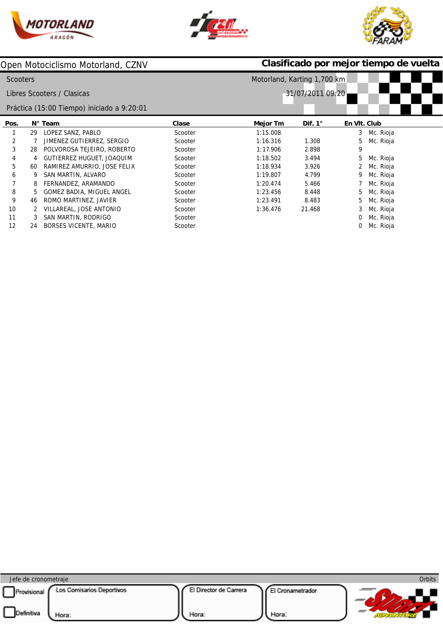





|                 |    | Open Motociclismo Motorland, CZNV          |         | Clasificado por mejor tiempo de vuelta |                  |              |           |  |  |
|-----------------|----|--------------------------------------------|---------|----------------------------------------|------------------|--------------|-----------|--|--|
| <b>Scooters</b> |    |                                            |         | Motorland, Karting 1,700 km            |                  |              |           |  |  |
|                 |    | Libres Scooters / Clasicas                 |         |                                        | 31/07/2011 09:20 |              |           |  |  |
|                 |    | Práctica (15:00 Tiempo) iniciado a 9:20:01 |         |                                        |                  |              |           |  |  |
| Pos.            |    | N° Team                                    | Clase   | Mejor Tm                               | Dif. $1^\circ$   | En VIt. Club |           |  |  |
| 1               | 29 | LOPEZ SANZ, PABLO                          | Scooter | 1:15.008                               |                  | 3            | Mc. Rioja |  |  |
| 2               |    | JIMENEZ GUTIERREZ, SERGIO                  | Scooter | 1:16.316                               | 1.308            | 5            | Mc. Rioja |  |  |
| 3               | 28 | POLVOROSA TEJEIRO, ROBERTO                 | Scooter | 1:17.906                               | 2.898            | 9            |           |  |  |
| 4               | 4  | <b>GUTIERREZ HUGUET, JOAQUIM</b>           | Scooter | 1:18.502                               | 3.494            | 5            | Mc. Rioja |  |  |
| 5               | 60 | RAMIREZ AMURRIO, JOSE FELIX                | Scooter | 1:18.934                               | 3.926            |              | Mc. Rioja |  |  |
| 6               |    | SAN MARTIN, ALVARO                         | Scooter | 1:19.807                               | 4.799            |              | Mc. Rioja |  |  |
| 7               | 8  | FERNANDEZ, ARAMANDO                        | Scooter | 1:20.474                               | 5.466            |              | Mc. Rioja |  |  |
| 8               | 5  | GOMEZ BADIA, MIGUEL ANGEL                  | Scooter | 1:23.456                               | 8.448            | 5            | Mc. Rioja |  |  |
| 9               | 46 | ROMO MARTINEZ, JAVIER                      | Scooter | 1:23.491                               | 8.483            | 5            | Mc. Rioja |  |  |
| 10              |    | VILLAREAL, JOSE ANTONIO                    | Scooter | 1:36.476                               | 21.468           |              | Mc. Rioja |  |  |
| 11              |    | SAN MARTIN, RODRIGO                        | Scooter |                                        |                  |              | Mc. Rioja |  |  |
| 12              | 24 | <b>BORSES VICENTE, MARIO</b>               | Scooter |                                        |                  | 0            | Mc. Rioja |  |  |

| Jefe de cronometraje                                                   |                                                              | <b>Orbits</b> |
|------------------------------------------------------------------------|--------------------------------------------------------------|---------------|
| Los Comisarios Deportivos<br>Provisional<br><b>Definitiva</b><br>Hora: | El Director de Carrera<br>El Cronametrador<br>Hora:<br>Hora: |               |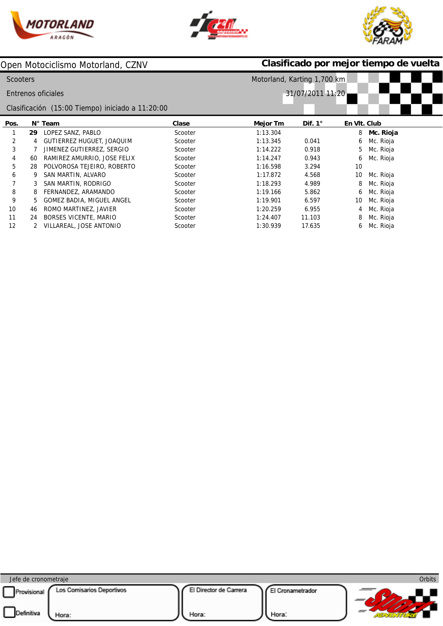

Ī





|                 |    | Open Motociclismo Motorland, CZNV                |         | Clasificado por mejor tiempo de vuelta |                  |              |           |  |  |
|-----------------|----|--------------------------------------------------|---------|----------------------------------------|------------------|--------------|-----------|--|--|
| <b>Scooters</b> |    |                                                  |         | Motorland, Karting 1,700 km            |                  |              |           |  |  |
|                 |    | Entrenos oficiales                               |         |                                        | 31/07/2011 11:20 |              |           |  |  |
|                 |    | Clasificación (15:00 Tiempo) iniciado a 11:20:00 |         |                                        |                  |              |           |  |  |
| Pos.            |    | $N^{\circ}$ Team                                 | Clase   | Mejor Tm                               | Dif. $1^\circ$   | En VIt. Club |           |  |  |
|                 | 29 | LOPEZ SANZ, PABLO                                | Scooter | 1:13.304                               |                  | 8            | Mc. Rioja |  |  |
| 2               | 4  | GUTIERREZ HUGUET, JOAQUIM                        | Scooter | 1:13.345                               | 0.041            | 6            | Mc. Rioja |  |  |
| 3               |    | JIMENEZ GUTIERREZ, SERGIO                        | Scooter | 1:14.222                               | 0.918            | 5            | Mc. Rioja |  |  |
| 4               | 60 | RAMIREZ AMURRIO, JOSE FELIX                      | Scooter | 1:14.247                               | 0.943            | 6            | Mc. Rioja |  |  |
| 5               | 28 | POLVOROSA TEJEIRO, ROBERTO                       | Scooter | 1:16.598                               | 3.294            | 10           |           |  |  |
| 6               |    | SAN MARTIN, ALVARO                               | Scooter | 1:17.872                               | 4.568            | 10           | Mc. Rioja |  |  |
|                 |    | SAN MARTIN, RODRIGO                              | Scooter | 1:18.293                               | 4.989            | 8            | Mc. Rioja |  |  |
| 8               |    | FERNANDEZ, ARAMANDO                              | Scooter | 1:19.166                               | 5.862            | 6            | Mc. Rioja |  |  |
| 9               | 5. | GOMEZ BADIA, MIGUEL ANGEL                        | Scooter | 1:19.901                               | 6.597            | 10           | Mc. Rioja |  |  |
| 10              | 46 | ROMO MARTINEZ, JAVIER                            | Scooter | 1:20.259                               | 6.955            | 4            | Mc. Rioja |  |  |
| 11              | 24 | <b>BORSES VICENTE, MARIO</b>                     | Scooter | 1:24.407                               | 11.103           | 8            | Mc. Rioja |  |  |
| 12              | 2  | VILLAREAL, JOSE ANTONIO                          | Scooter | 1:30.939                               | 17.635           | 6            | Mc. Rioja |  |  |

| Jefe de cronometraje      |                                    |                                 |                           | <b>Orbits</b> |
|---------------------------|------------------------------------|---------------------------------|---------------------------|---------------|
| Provisional<br>Definitiva | Los Comisarios Deportivos<br>Hora: | El Director de Carrera<br>Hora: | El Cronametrador<br>Hora: |               |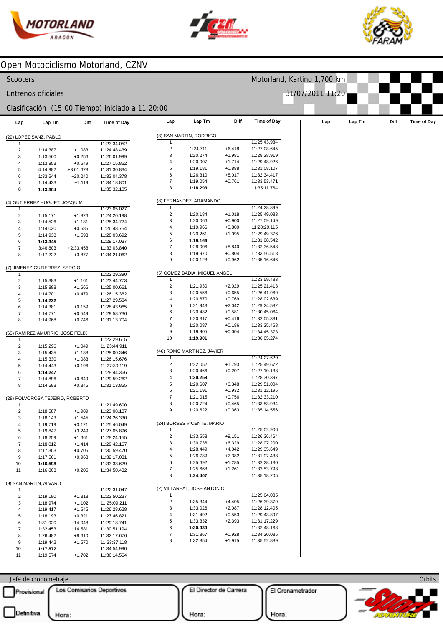





| Scooters                                |                                  |             |                                                  |                         |                               |                      | Motorland, Karting 1,700 km  |                  |     |        |      |             |
|-----------------------------------------|----------------------------------|-------------|--------------------------------------------------|-------------------------|-------------------------------|----------------------|------------------------------|------------------|-----|--------|------|-------------|
|                                         | Entrenos oficiales               |             |                                                  |                         |                               |                      |                              | 31/07/2011 11:20 |     |        |      |             |
|                                         |                                  |             | Clasificación (15:00 Tiempo) iniciado a 11:20:00 |                         |                               |                      |                              |                  |     |        |      |             |
| Lap                                     | Lap Tm                           | Diff        | <b>Time of Day</b>                               | Lap                     | Lap Tm                        | Diff                 | <b>Time of Day</b>           |                  | Lap | Lap Tm | Diff | Time of Day |
|                                         | (29) LOPEZ SANZ, PABLO           |             |                                                  |                         | (3) SAN MARTIN, RODRIGO       |                      |                              |                  |     |        |      |             |
|                                         |                                  |             | 11:23:34.052                                     | 1                       |                               |                      | 11:25:43.934                 |                  |     |        |      |             |
| $\mathbf 2$                             | 1:14.387                         | $+1.083$    | 11:24:48.439                                     | $\overline{c}$          | 1:24.711                      | $+6.418$             | 11:27:08.645                 |                  |     |        |      |             |
| 3                                       | 1:13.560                         | $+0.256$    | 11:26:01.999                                     | 3                       | 1:20.274                      | $+1.981$             | 11:28:28.919                 |                  |     |        |      |             |
| 4                                       | 1:13.853                         | $+0.549$    | 11:27:15.852                                     | 4                       | 1:20.007                      | $+1.714$             | 11:29:48.926                 |                  |     |        |      |             |
| 5                                       | 4:14.982                         | $+3:01.678$ | 11:31:30.834                                     | 5<br>6                  | 1:19.181                      | $+0.888$             | 11:31:08.107                 |                  |     |        |      |             |
| 6                                       | 1:33.544                         | $+20.240$   | 11:33:04.378                                     | $\overline{7}$          | 1:26.310<br>1:19.054          | $+8.017$<br>$+0.761$ | 11:32:34.417<br>11:33:53.471 |                  |     |        |      |             |
| $\boldsymbol{7}$                        | 1:14.423                         | $+1.119$    | 11:34:18.801                                     | 8                       | 1:18.293                      |                      | 11:35:11.764                 |                  |     |        |      |             |
| 8                                       | 1:13.304                         |             | 11:35:32.105                                     |                         |                               |                      |                              |                  |     |        |      |             |
|                                         | (4) GUTIERREZ HUGUET, JOAQUIM    |             |                                                  | 1                       | (8) FERNANDEZ, ARAMANDO       |                      | 11:24:28.899                 |                  |     |        |      |             |
| 1<br>$\sqrt{2}$                         | 1:15.171                         | $+1.826$    | 11:23:05.027<br>11:24:20.198                     | $\mathbf 2$             | 1:20.184                      | $+1.018$             | 11:25:49.083                 |                  |     |        |      |             |
| 3                                       | 1:14.526                         | $+1.181$    | 11:25:34.724                                     | 3                       | 1:20.066                      | $+0.900$             | 11:27:09.149                 |                  |     |        |      |             |
| 4                                       | 1:14.030                         | $+0.685$    | 11:26:48.754                                     | 4                       | 1:19.966                      | $+0.800$             | 11:28:29.115                 |                  |     |        |      |             |
| 5                                       | 1:14.938                         | $+1.593$    | 11:28:03.692                                     | 5                       | 1:20.261                      | $+1.095$             | 11:29:49.376                 |                  |     |        |      |             |
| 6                                       | 1:13.345                         |             | 11:29:17.037                                     | 6                       | 1:19.166                      |                      | 11:31:08.542                 |                  |     |        |      |             |
| $\boldsymbol{7}$                        | 3:46.803                         | $+2:33.458$ | 11:33:03.840                                     | $\overline{7}$          | 1:28.006                      | $+8.840$             | 11:32:36.548                 |                  |     |        |      |             |
| 8                                       | 1:17.222                         | $+3.877$    | 11:34:21.062                                     | 8                       | 1:19.970                      | $+0.804$             | 11:33:56.518                 |                  |     |        |      |             |
|                                         |                                  |             |                                                  | 9                       | 1:20.128                      | $+0.962$             | 11:35:16.646                 |                  |     |        |      |             |
| $\mathbf{1}$                            | (7) JIMENEZ GUTIERREZ, SERGIO    |             | 11:22:29.390                                     |                         | (5) GOMEZ BADIA, MIGUEL ANGEL |                      |                              |                  |     |        |      |             |
| $\mathbf 2$                             | 1:15.383                         | $+1.161$    | 11:23:44.773                                     | 1                       |                               |                      | 11:23:59.483                 |                  |     |        |      |             |
| 3                                       | 1:15.888                         | $+1.666$    | 11:25:00.661                                     | $\overline{\mathbf{c}}$ | 1:21.930                      | $+2.029$             | 11:25:21.413                 |                  |     |        |      |             |
| 4                                       | 1:14.701                         | $+0.479$    | 11:26:15.362                                     | 3                       | 1:20.556                      | $+0.655$             | 11:26:41.969                 |                  |     |        |      |             |
| 5                                       | 1:14.222                         |             | 11:27:29.584                                     | 4                       | 1:20.670                      | $+0.769$             | 11:28:02.639                 |                  |     |        |      |             |
| 6                                       | 1:14.381                         | $+0.159$    | 11:28:43.965                                     | 5                       | 1:21.943                      | $+2.042$             | 11:29:24.582                 |                  |     |        |      |             |
| $\boldsymbol{7}$                        | 1:14.771                         | $+0.549$    | 11:29:58.736                                     | 6                       | 1:20.482                      | $+0.581$             | 11:30:45.064                 |                  |     |        |      |             |
| 8                                       | 1:14.968                         | $+0.746$    | 11:31:13.704                                     | $\overline{7}$          | 1:20.317                      | $+0.416$             | 11:32:05.381                 |                  |     |        |      |             |
|                                         |                                  |             |                                                  | 8                       | 1:20.087                      | $+0.186$             | 11:33:25.468                 |                  |     |        |      |             |
|                                         | (60) RAMIREZ AMURRIO, JOSE FELIX |             |                                                  | 9                       | 1:19.905                      | $+0.004$             | 11:34:45.373                 |                  |     |        |      |             |
| -1                                      |                                  |             | 11:22:29.615                                     | 10                      | 1:19.901                      |                      | 11:36:05.274                 |                  |     |        |      |             |
| $\overline{\mathbf{c}}$                 | 1:15.296                         | $+1.049$    | 11:23:44.911                                     |                         |                               |                      |                              |                  |     |        |      |             |
| 3                                       | 1:15.435                         | $+1.188$    | 11:25:00.346                                     |                         | (46) ROMO MARTINEZ, JAVIER    |                      |                              |                  |     |        |      |             |
| 4                                       | 1:15.330                         | $+1.083$    | 11:26:15.676                                     | -1                      |                               |                      | 11:24:27.620                 |                  |     |        |      |             |
| 5                                       | 1:14.443                         | $+0.196$    | 11:27:30.119                                     | $\mathbf 2$             | 1:22.052<br>1:20.466          | $+1.793$             | 11:25:49.672                 |                  |     |        |      |             |
| 6                                       | 1:14.247                         |             | 11:28:44.366                                     | 3<br>4                  |                               | $+0.207$             | 11:27:10.138                 |                  |     |        |      |             |
| $\overline{7}$                          | 1:14.896                         | $+0.649$    | 11:29:59.262                                     | 5                       | 1:20.259                      | $+0.348$             | 11:28:30.397                 |                  |     |        |      |             |
| 8                                       | 1:14.593                         | $+0.346$    | 11:31:13.855                                     | 6                       | 1:20.607<br>1:21.191          | $+0.932$             | 11:29:51.004<br>11:31:12.195 |                  |     |        |      |             |
|                                         |                                  |             |                                                  | $\overline{7}$          | 1:21.015                      | $+0.756$             | 11:32:33.210                 |                  |     |        |      |             |
|                                         | (28) POLVOROSA TEJEIRO, ROBERTO  |             |                                                  | 8                       | 1:20.724                      | $+0.465$             | 11:33:53.934                 |                  |     |        |      |             |
| $\mathbf{1}$<br>$\overline{\mathbf{c}}$ | 1:18.587                         | $+1.989$    | 11:21:49.600<br>11:23:08.187                     | 9                       | 1:20.622                      | $+0.363$             | 11:35:14.556                 |                  |     |        |      |             |
| 3                                       | 1:18.143                         | $+1.545$    | 11:24:26.330                                     |                         |                               |                      |                              |                  |     |        |      |             |
| 4                                       | 1:19.719                         | $+3.121$    | 11:25:46.049                                     |                         | (24) BORSES VICENTE, MARIO    |                      |                              |                  |     |        |      |             |
| 5                                       | 1:19.847                         | $+3.249$    | 11:27:05.896                                     | 1                       |                               |                      | 11:25:02.906                 |                  |     |        |      |             |
| 6                                       | 1:18.259                         | $+1.661$    | 11:28:24.155                                     | $\mathbf 2$             | 1:33.558                      | $+9.151$             | 11:26:36.464                 |                  |     |        |      |             |
| $\overline{7}$                          | 1:18.012                         | $+1.414$    | 11:29:42.167                                     | 3                       | 1:30.736                      | $+6.329$             | 11:28:07.200                 |                  |     |        |      |             |
| 8                                       | 1:17.303                         | $+0.705$    | 11:30:59.470                                     | 4                       | 1:28.449                      | $+4.042$             | 11:29:35.649                 |                  |     |        |      |             |
| 9                                       | 1:17.561                         | $+0.963$    | 11:32:17.031                                     | 5                       | 1:26.789                      | $+2.382$             | 11:31:02.438                 |                  |     |        |      |             |
| 10                                      | 1:16.598                         |             | 11:33:33.629                                     | 6                       | 1:25.692                      | $+1.285$             | 11:32:28.130                 |                  |     |        |      |             |
| 11                                      | 1:16.803                         | $+0.205$    | 11:34:50.432                                     | $\boldsymbol{7}$        | 1:25.668                      | $+1.261$             | 11:33:53.798                 |                  |     |        |      |             |
|                                         |                                  |             |                                                  | 8                       | 1:24.407                      |                      | 11:35:18.205                 |                  |     |        |      |             |
| $\mathbf{1}$                            | (9) SAN MARTIN, ALVARO           |             | 11:22:31.047                                     |                         | (2) VILLAREAL, JOSE ANTONIO   |                      |                              |                  |     |        |      |             |
| $\overline{2}$                          | 1:19.190                         | $+1.318$    | 11:23:50.237                                     | 1                       |                               |                      | 11:25:04.035                 |                  |     |        |      |             |
| 3                                       | 1:18.974                         | $+1.102$    | 11:25:09.211                                     | $\overline{c}$          | 1:35.344                      | $+4.405$             | 11:26:39.379                 |                  |     |        |      |             |
| 4                                       | 1:19.417                         | $+1.545$    | 11:26:28.628                                     | 3                       | 1:33.026                      | $+2.087$             | 11:28:12.405                 |                  |     |        |      |             |
| 5                                       | 1:18.193                         | $+0.321$    | 11:27:46.821                                     | 4                       | 1:31.492                      | $+0.553$             | 11:29:43.897                 |                  |     |        |      |             |
| 6                                       | 1:31.920                         | $+14.048$   | 11:29:18.741                                     | 5                       | 1:33.332                      | $+2.393$             | 11:31:17.229                 |                  |     |        |      |             |
| $\boldsymbol{7}$                        | 1:32.453                         | $+14.581$   | 11:30:51.194                                     | 6                       | 1:30.939                      |                      | 11:32:48.168                 |                  |     |        |      |             |
| 8                                       | 1:26.482                         | $+8.610$    | 11:32:17.676                                     | $\boldsymbol{7}$        | 1:31.867                      | $+0.928$             | 11:34:20.035                 |                  |     |        |      |             |
| 9                                       | 1:19.442                         | $+1.570$    | 11:33:37.118                                     | 8                       | 1:32.854                      | $+1.915$             | 11:35:52.889                 |                  |     |        |      |             |
| 10                                      | 1:17.872                         |             | 11:34:54.990                                     |                         |                               |                      |                              |                  |     |        |      |             |
| 11                                      | 1:19.574                         | $+1.702$    | 11:36:14.564                                     |                         |                               |                      |                              |                  |     |        |      |             |

 $\Box$ Definitiva  $\bigcup_{\text{Hora}:}$ Jefe de cronometraje Provisional Los Comisarios Deportivos

El Director de Carrera

Hora:

El Cronametrador

Hora:

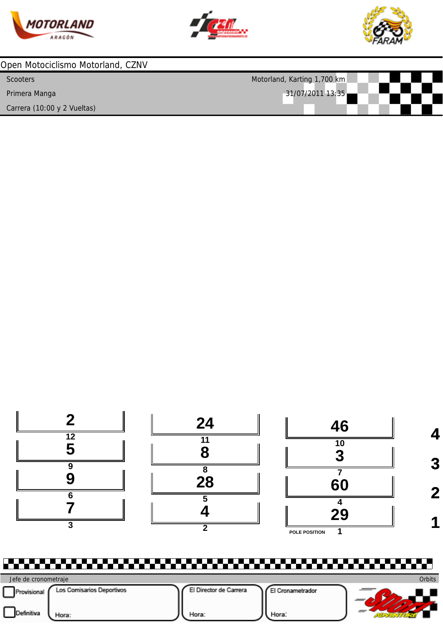





| Open Motociclismo Motorland, CZNV |                             |  |  |  |  |  |  |  |  |
|-----------------------------------|-----------------------------|--|--|--|--|--|--|--|--|
| <b>Scooters</b>                   | Motorland, Karting 1,700 km |  |  |  |  |  |  |  |  |
| Primera Manga                     | 31/07/2011 13:35            |  |  |  |  |  |  |  |  |
| Carrera (10:00 y 2 Vueltas)       |                             |  |  |  |  |  |  |  |  |



Ö۳ **Orbits** Jefe de cronometraje Provisional Los Comisarios Deportivos El Director de Carrera El Cronametrador  $22.11$ Hora: Hora: **AIOVERSTURE**  $\overline{\phantom{a}}$   $\overline{\phantom{a}}$   $\overline{\phantom{a}}$   $\overline{\phantom{a}}$   $\overline{\phantom{a}}$   $\overline{\phantom{a}}$   $\overline{\phantom{a}}$   $\overline{\phantom{a}}$   $\overline{\phantom{a}}$   $\overline{\phantom{a}}$   $\overline{\phantom{a}}$   $\overline{\phantom{a}}$   $\overline{\phantom{a}}$   $\overline{\phantom{a}}$   $\overline{\phantom{a}}$   $\overline{\phantom{a}}$   $\overline{\phantom{a}}$   $\overline{\phantom{a}}$   $\overline{\$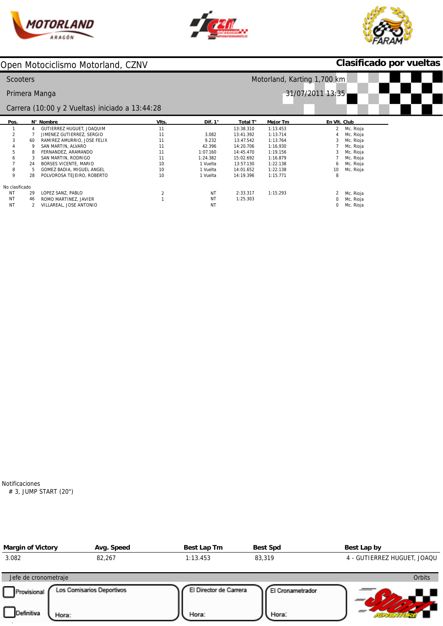





# **Clasificado por vueltas**

| <b>Scooters</b> |    |                                                 |       | Motorland, Karting 1,700 km |                  |          |                |           |  |  |
|-----------------|----|-------------------------------------------------|-------|-----------------------------|------------------|----------|----------------|-----------|--|--|
|                 |    | Primera Manga                                   |       |                             | 31/07/2011 13:35 |          |                |           |  |  |
|                 |    | Carrera (10:00 y 2 Vueltas) iniciado a 13:44:28 |       |                             |                  |          |                |           |  |  |
| Pos.            |    | N° Nombre                                       | VIts. | Dif. $1^\circ$              | Total T°         | Mejor Tm | En VIt. Club   |           |  |  |
|                 | 4  | GUTIERREZ HUGUET, JOAQUIM                       | 11    |                             | 13:38.310        | 1:13.453 | $\overline{2}$ | Mc. Rioja |  |  |
| 2               |    | JIMENEZ GUTIERREZ, SERGIO                       | 11    | 3.082                       | 13:41.392        | 1:13.714 |                | Mc. Rioja |  |  |
| 3               | 60 | RAMIREZ AMURRIO, JOSE FELIX                     | 11    | 9.232                       | 13:47.542        | 1:13.764 |                | Mc. Rioja |  |  |
|                 | 9  | SAN MARTIN, ALVARO                              | 11    | 42.396                      | 14:20.706        | 1:16.930 |                | Mc. Rioja |  |  |
|                 | 8  | FERNANDEZ, ARAMANDO                             | 11    | 1:07.160                    | 14:45.470        | 1:19.156 |                | Mc. Rioja |  |  |
| 6               | 3  | SAN MARTIN, RODRIGO                             | 11    | 1:24.382                    | 15:02.692        | 1:16.879 |                | Mc. Rioja |  |  |
|                 | 24 | BORSES VICENTE, MARIO                           | 10    | 1 Vuelta                    | 13:57.130        | 1:22.138 | 6              | Mc. Rioja |  |  |
| 8               |    | GOMEZ BADIA, MIGUEL ANGEL                       | 10    | 1 Vuelta                    | 14:01.652        | 1:22.138 | 10             | Mc. Rioja |  |  |
| 9               | 28 | POLVOROSA TEJEIRO, ROBERTO                      | 10    | 1 Vuelta                    | 14:19.396        | 1:15.771 | 8              |           |  |  |
| No clasificado  |    |                                                 |       |                             |                  |          |                |           |  |  |
| NT              | 29 | LOPEZ SANZ, PABLO                               |       | NT                          | 2:33.317         | 1:15.293 |                | Mc. Rioja |  |  |
| NT              | 46 | ROMO MARTINEZ, JAVIER                           |       | NT                          | 1:25.303         |          |                | Mc. Rioja |  |  |
| NT              | 2  | VILLAREAL, JOSE ANTONIO                         |       | <b>NT</b>                   |                  |          | 0              | Mc. Rioja |  |  |

Notificaciones # 3, JUMP START (20")

| <b>Margin of Victory</b> | Avg. Speed                | Best Lap Tm            | <b>Best Spd</b>  | Best Lap by                 |
|--------------------------|---------------------------|------------------------|------------------|-----------------------------|
| 3.082                    | 82,267                    | 1:13.453               | 83,319           | 4 - GUTIERREZ HUGUET, JOAQU |
| Jefe de cronometraje     |                           |                        |                  | Orbits                      |
| Provisional              | Los Comisarios Deportivos | El Director de Carrera | El Cronametrador |                             |
|                          |                           |                        |                  |                             |
| Definitiva<br>Hora:      |                           | Hora:                  | Hora:            |                             |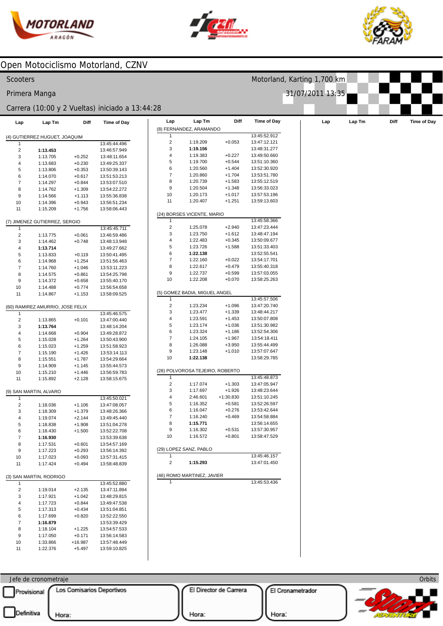



Motorland, Karting 1,700 km

31/07/2011 13:35



#### Open Motociclismo Motorland, CZNV

#### **Scooters**

Primera Manga

#### Carrera (10:00 y 2 Vueltas) iniciado a 13:44:28

| Lap                          | Lap Tm                           | Diff                 | <b>Time of Day</b>           | Lap                            | Lap Tm                          | Diff                 | <b>Time of Day</b>           | Lap | Lap Tm |
|------------------------------|----------------------------------|----------------------|------------------------------|--------------------------------|---------------------------------|----------------------|------------------------------|-----|--------|
|                              |                                  |                      |                              |                                | (8) FERNANDEZ, ARAMANDO         |                      |                              |     |        |
|                              | (4) GUTIERREZ HUGUET, JOAQUIM    |                      |                              |                                |                                 |                      | 13:45:52.912                 |     |        |
| $\mathbf{1}$                 |                                  |                      | 13:45:44.496                 | $\overline{c}$                 | 1:19.209                        | $+0.053$             | 13:47:12.121                 |     |        |
| $\overline{2}$               | 1:13.453                         |                      | 13:46:57.949                 | 3                              | 1:19.156                        |                      | 13:48:31.277                 |     |        |
| 3                            | 1:13.705                         | $+0.252$             | 13:48:11.654                 | $\overline{4}$                 | 1:19.383                        | $+0.227$             | 13:49:50.660                 |     |        |
| 4                            | 1:13.683                         | $+0.230$             | 13:49:25.337                 | 5                              | 1:19.700                        | $+0.544$             | 13:51:10.360                 |     |        |
| 5                            | 1:13.806                         | $+0.353$             | 13:50:39.143                 | 6                              | 1:20.560                        | $+1.404$             | 13:52:30.920                 |     |        |
| 6                            | 1:14.070                         | $+0.617$             | 13:51:53.213                 | $\overline{7}$                 | 1:20.860                        | $+1.704$             | 13:53:51.780                 |     |        |
| $\boldsymbol{7}$             | 1:14.297                         | $+0.844$             | 13:53:07.510                 | 8                              | 1:20.739                        | $+1.583$             | 13:55:12.519                 |     |        |
| 8                            | 1:14.762                         | $+1.309$             | 13:54:22.272                 | 9                              | 1:20.504                        | $+1.348$             | 13:56:33.023                 |     |        |
| 9                            | 1:14.566                         | $+1.113$             | 13:55:36.838                 | 10                             | 1:20.173                        | $+1.017$             | 13:57:53.196                 |     |        |
| 10                           | 1:14.396                         | $+0.943$             | 13:56:51.234                 | 11                             | 1:20.407                        | $+1.251$             | 13:59:13.603                 |     |        |
| 11                           | 1:15.209                         | $+1.756$             | 13:58:06.443                 |                                |                                 |                      |                              |     |        |
|                              |                                  |                      |                              |                                | (24) BORSES VICENTE, MARIO      |                      |                              |     |        |
|                              | (7) JIMENEZ GUTIERREZ, SERGIO    |                      |                              | $\mathbf{1}$<br>$\overline{2}$ | 1:25.078                        | $+2.940$             | 13:45:58.366<br>13:47:23.444 |     |        |
| $\mathbf{1}$                 |                                  |                      | 13:45:45.711                 | 3                              | 1:23.750                        | $+1.612$             | 13:48:47.194                 |     |        |
| $\overline{c}$               | 1:13.775                         | $+0.061$             | 13:46:59.486                 | $\overline{4}$                 | 1:22.483                        | $+0.345$             | 13:50:09.677                 |     |        |
| 3                            | 1:14.462                         | $+0.748$             | 13:48:13.948                 | 5                              | 1:23.726                        | $+1.588$             | 13:51:33.403                 |     |        |
| 4                            | 1:13.714                         |                      | 13:49:27.662                 | 6                              | 1:22.138                        |                      | 13:52:55.541                 |     |        |
| 5<br>6                       | 1:13.833<br>1:14.968             | $+0.119$<br>$+1.254$ | 13:50:41.495                 | $\overline{7}$                 | 1:22.160                        | $+0.022$             | 13:54:17.701                 |     |        |
| $\overline{7}$               | 1:14.760                         | $+1.046$             | 13:51:56.463                 | 8                              | 1:22.617                        | $+0.479$             | 13:55:40.318                 |     |        |
| 8                            | 1:14.575                         | $+0.861$             | 13:53:11.223<br>13:54:25.798 | $\boldsymbol{9}$               | 1:22.737                        | $+0.599$             | 13:57:03.055                 |     |        |
| 9                            | 1:14.372                         | $+0.658$             | 13:55:40.170                 | 10                             | 1:22.208                        | $+0.070$             | 13:58:25.263                 |     |        |
| 10                           | 1:14.488                         | $+0.774$             | 13:56:54.658                 |                                |                                 |                      |                              |     |        |
| 11                           | 1:14.867                         | $+1.153$             | 13:58:09.525                 |                                | (5) GOMEZ BADIA, MIGUEL ANGEL   |                      |                              |     |        |
|                              |                                  |                      |                              | 1                              |                                 |                      | 13:45:57.506                 |     |        |
|                              | (60) RAMIREZ AMURRIO, JOSE FELIX |                      |                              | $\overline{2}$                 | 1:23.234                        | $+1.096$             | 13:47:20.740                 |     |        |
| $\mathbf{1}$                 |                                  |                      | 13:45:46.575                 | 3                              | 1:23.477                        | $+1.339$             | 13:48:44.217                 |     |        |
| $\overline{\mathbf{c}}$      | 1:13.865                         | $+0.101$             | 13:47:00.440                 | 4                              | 1:23.591                        | $+1.453$             | 13:50:07.808                 |     |        |
| 3                            | 1:13.764                         |                      | 13:48:14.204                 | 5                              | 1:23.174                        | $+1.036$             | 13:51:30.982                 |     |        |
| 4                            | 1:14.668                         | $+0.904$             | 13:49:28.872                 | 6                              | 1:23.324                        | $+1.186$             | 13:52:54.306                 |     |        |
| 5                            | 1:15.028                         | $+1.264$             | 13:50:43.900                 | $\overline{7}$                 | 1:24.105                        | $+1.967$             | 13:54:18.411                 |     |        |
| 6                            | 1:15.023                         | $+1.259$             | 13:51:58.923                 | 8                              | 1:26.088                        | $+3.950$             | 13:55:44.499                 |     |        |
| $\overline{7}$               | 1:15.190                         | $+1.426$             | 13:53:14.113                 | 9                              | 1:23.148                        | $+1.010$             | 13:57:07.647                 |     |        |
| 8                            | 1:15.551                         | $+1.787$             | 13:54:29.664                 | 10                             | 1:22.138                        |                      | 13:58:29.785                 |     |        |
| 9                            | 1:14.909                         | $+1.145$             | 13:55:44.573                 |                                |                                 |                      |                              |     |        |
| 10                           | 1:15.210                         | $+1.446$             | 13:56:59.783                 |                                | (28) POLVOROSA TEJEIRO, ROBERTO |                      |                              |     |        |
| 11                           | 1:15.892                         | $+2.128$             | 13:58:15.675                 | $\mathbf{1}$                   |                                 |                      | 13:45:48.873                 |     |        |
|                              |                                  |                      |                              | $\overline{2}$<br>3            | 1:17.074<br>1:17.697            | $+1.303$<br>$+1.926$ | 13:47:05.947<br>13:48:23.644 |     |        |
|                              | (9) SAN MARTIN, ALVARO           |                      |                              | $\overline{4}$                 | 2:46.601                        | $+1:30.830$          | 13:51:10.245                 |     |        |
| 1                            |                                  |                      | 13:45:50.021                 | 5                              | 1:16.352                        | $+0.581$             | 13:52:26.597                 |     |        |
| $\overline{\mathbf{c}}$<br>3 | 1:18.036<br>1:18.309             | $+1.106$             | 13:47:08.057<br>13:48:26.366 | 6                              | 1:16.047                        | $+0.276$             | 13:53:42.644                 |     |        |
| 4                            | 1:19.074                         | $+1.379$<br>$+2.144$ | 13:49:45.440                 | $\overline{7}$                 | 1:16.240                        | $+0.469$             | 13:54:58.884                 |     |        |
| 5                            | 1:18.838                         | $+1.908$             | 13:51:04.278                 | 8                              | 1:15.771                        |                      | 13:56:14.655                 |     |        |
| 6                            | 1:18.430                         | $+1.500$             | 13:52:22.708                 | 9                              | 1:16.302                        | $+0.531$             | 13:57:30.957                 |     |        |
| $\overline{7}$               | 1:16.930                         |                      | 13:53:39.638                 | 10                             | 1:16.572                        | $+0.801$             | 13:58:47.529                 |     |        |
| 8                            | 1:17.531                         | $+0.601$             | 13:54:57.169                 |                                |                                 |                      |                              |     |        |
| 9                            | 1:17.223                         | $+0.293$             | 13:56:14.392                 |                                | (29) LOPEZ SANZ, PABLO          |                      |                              |     |        |
| 10                           | 1:17.023                         | $+0.093$             | 13:57:31.415                 | -1                             |                                 |                      | 13:45:46.157                 |     |        |
| 11                           | 1:17.424                         | $+0.494$             | 13:58:48.839                 | 2                              | 1:15.293                        |                      | 13:47:01.450                 |     |        |
|                              |                                  |                      |                              |                                |                                 |                      |                              |     |        |
|                              | (3) SAN MARTIN, RODRIGO          |                      |                              |                                | (46) ROMO MARTINEZ, JAVIER      |                      |                              |     |        |
| $\mathbf{1}$                 |                                  |                      | 13:45:52.880                 |                                |                                 |                      | 13:45:53.436                 |     |        |
| $\overline{c}$               | 1:19.014                         | $+2.135$             | 13:47:11.894                 |                                |                                 |                      |                              |     |        |
| 3                            | 1:17.921                         | $+1.042$             | 13:48:29.815                 |                                |                                 |                      |                              |     |        |
| 4                            | 1:17.723                         | $+0.844$             | 13:49:47.538                 |                                |                                 |                      |                              |     |        |
| 5                            | 1:17.313                         | $+0.434$             | 13:51:04.851                 |                                |                                 |                      |                              |     |        |
| 6                            | 1:17.699                         | $+0.820$             | 13:52:22.550                 |                                |                                 |                      |                              |     |        |
| $\boldsymbol{7}$             | 1:16.879                         |                      | 13:53:39.429                 |                                |                                 |                      |                              |     |        |
| 8                            | 1:18.104                         | $+1.225$             | 13:54:57.533                 |                                |                                 |                      |                              |     |        |
| 9                            | 1:17.050                         | $+0.171$             | 13:56:14.583                 |                                |                                 |                      |                              |     |        |
| 10                           | 1:33.866                         | +16.987              | 13:57:48.449                 |                                |                                 |                      |                              |     |        |

| 1:18.104 | $+1.225$  | 13:54:57.533 |
|----------|-----------|--------------|
| 1:17.050 | $+0.171$  | 13:56:14.583 |
| 1:33.866 | $+16.987$ | 13:57:48.449 |
| 1:22.376 | $+5.497$  | 13:59:10.825 |

Provisional Los Comisarios Deportivos

 $\overline{\phantom{a}}$ 

Jefe de cronometraje

11

El Director de Carrera

El Cronametrador



Orbits

Hora:

Hora: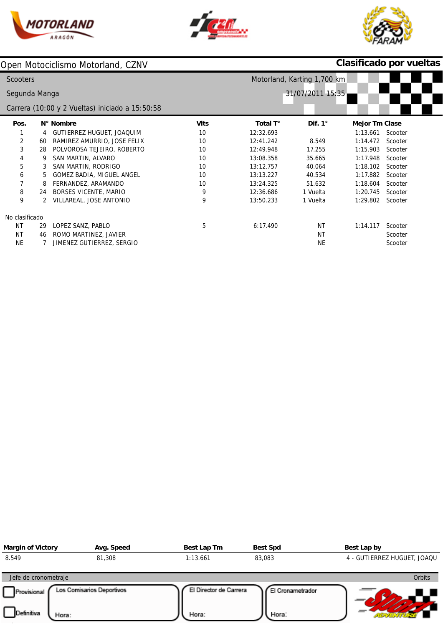





# **Clasificado por vueltas**

| <b>Scooters</b> |    |                                                 |             | Motorland, Karting 1,700 km |                |                       |         |  |
|-----------------|----|-------------------------------------------------|-------------|-----------------------------|----------------|-----------------------|---------|--|
| Segunda Manga   |    |                                                 |             | 31/07/2011 15:35            |                |                       |         |  |
|                 |    | Carrera (10:00 y 2 Vueltas) iniciado a 15:50:58 |             |                             |                |                       |         |  |
| Pos.            |    | N° Nombre                                       | <b>VIts</b> | Total T°                    | Dif. $1^\circ$ | <b>Mejor Tm Clase</b> |         |  |
|                 | 4  | GUTIERREZ HUGUET, JOAQUIM                       | 10          | 12:32.693                   |                | 1:13.661              | Scooter |  |
| 2               | 60 | RAMIREZ AMURRIO, JOSE FELIX                     | 10          | 12:41.242                   | 8.549          | 1:14.472              | Scooter |  |
| 3               | 28 | POLVOROSA TEJEIRO, ROBERTO                      | 10          | 12:49.948                   | 17.255         | 1:15.903              | Scooter |  |
| 4               | 9  | SAN MARTIN, ALVARO                              | 10          | 13:08.358                   | 35.665         | 1:17.948              | Scooter |  |
| 5               | 3  | SAN MARTIN, RODRIGO                             | 10          | 13:12.757                   | 40.064         | 1:18.102              | Scooter |  |
| 6               | 5. | GOMEZ BADIA, MIGUEL ANGEL                       | 10          | 13:13.227                   | 40.534         | 1:17.882              | Scooter |  |
| 7               | 8  | FERNANDEZ, ARAMANDO                             | 10          | 13:24.325                   | 51.632         | 1:18.604              | Scooter |  |
| 8               | 24 | <b>BORSES VICENTE, MARIO</b>                    | 9           | 12:36.686                   | 1 Vuelta       | 1:20.745              | Scooter |  |
| 9               |    | VILLAREAL, JOSE ANTONIO                         | 9           | 13:50.233                   | 1 Vuelta       | 1:29.802              | Scooter |  |
| No clasificado  |    |                                                 |             |                             |                |                       |         |  |
| NT              | 29 | LOPEZ SANZ, PABLO                               | 5           | 6:17.490                    | NT             | 1:14.117              | Scooter |  |
| NT              | 46 | ROMO MARTINEZ, JAVIER                           |             |                             | <b>NT</b>      |                       | Scooter |  |
| <b>NE</b>       |    | JIMENEZ GUTIERREZ, SERGIO                       |             |                             | <b>NE</b>      |                       | Scooter |  |

| <b>Margin of Victory</b> | Avg. Speed                | Best Lap Tm            | <b>Best Spd</b>  | Best Lap by                 |
|--------------------------|---------------------------|------------------------|------------------|-----------------------------|
| 8.549                    | 81,308                    | 1:13.661               | 83,083           | 4 - GUTIERREZ HUGUET, JOAQU |
| Jefe de cronometraje     |                           |                        |                  | Orbits                      |
| Provisional              | Los Comisarios Deportivos | El Director de Carrera | El Cronametrador |                             |
| Definitiva<br>Hora:      |                           | Hora:                  | Hora:            |                             |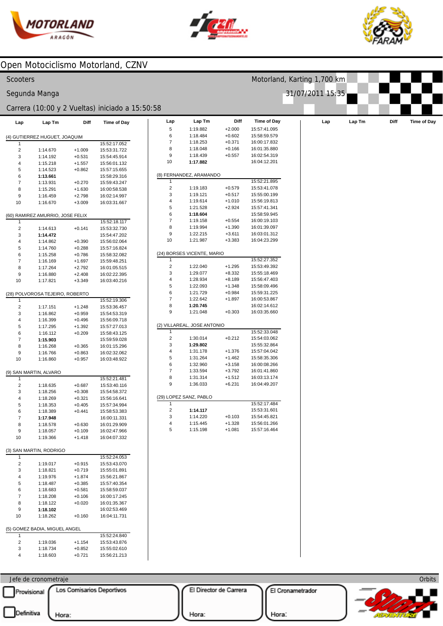



Motorland, Karting 1,700 km

31/07/2011 15:35



## Open Motociclismo Motorland, CZNV

|  | Scooters |  |
|--|----------|--|
|  |          |  |

#### Segunda Manga

### Carrera (10:00 y 2 Vueltas) iniciado a 15:50:5

| Lap                           | Lap Tm                           | Diff     | <b>Time of Day</b> |  |  |  |
|-------------------------------|----------------------------------|----------|--------------------|--|--|--|
| (4) GUTIERREZ HUGUET, JOAQUIM |                                  |          |                    |  |  |  |
| 1                             |                                  |          | 15:52:17.052       |  |  |  |
| 2                             | 1:14.670                         | $+1.009$ | 15:53:31.722       |  |  |  |
| 3                             | 1:14.192                         | $+0.531$ | 15:54:45.914       |  |  |  |
| 4                             | 1:15.218                         | $+1.557$ | 15:56:01.132       |  |  |  |
| 5                             | 1:14.523                         | $+0.862$ | 15:57:15.655       |  |  |  |
| 6                             | 1:13.661                         |          | 15:58:29.316       |  |  |  |
| 7                             | 1:13.931                         | $+0.270$ | 15:59:43.247       |  |  |  |
| 8                             | 1:15.291                         | $+1.630$ | 16:00:58.538       |  |  |  |
| 9                             | 1:16.459                         | $+2.798$ | 16:02:14.997       |  |  |  |
| 10                            | 1:16.670                         | $+3.009$ | 16:03:31.667       |  |  |  |
|                               | (60) RAMIREZ AMURRIO, JOSE FELIX |          |                    |  |  |  |
| 1                             |                                  |          | 15:52:18.117       |  |  |  |
| 2                             | 1:14.613                         | $+0.141$ | 15:53:32.730       |  |  |  |
| 3                             | 1:14.472                         |          | 15:54:47.202       |  |  |  |
| 4                             | 1:14.862                         | $+0.390$ | 15:56:02.064       |  |  |  |
| 5                             | 1:14.760                         | $+0.288$ | 15:57:16.824       |  |  |  |
| 6                             | 1:15.258                         | $+0.786$ | 15:58:32.082       |  |  |  |
| 7                             | 1:16.169                         | +1.697   | 15:59:48.251       |  |  |  |
| 8                             | 1:17.264                         | $+2.792$ | 16:01:05.515       |  |  |  |
| 9                             | 1:16.880                         | $+2.408$ | 16:02:22.395       |  |  |  |
| 10                            | 1:17.821                         | $+3.349$ | 16:03:40.216       |  |  |  |
|                               | (28) POLVOROSA TEJEIRO, ROBERTO  |          |                    |  |  |  |
| 1                             |                                  |          | 15:52:19.306       |  |  |  |
| 2                             | 1:17.151                         | $+1.248$ | 15:53:36.457       |  |  |  |
| 3                             | 1:16.862                         | $+0.959$ | 15:54:53.319       |  |  |  |
| 4                             | 1:16.399                         | $+0.496$ | 15:56:09.718       |  |  |  |
| 5                             | 1:17.295                         | +1.392   | 15:57:27.013       |  |  |  |
| 6                             | 1:16.112                         | $+0.209$ | 15:58:43.125       |  |  |  |
| 7                             | 1:15.903                         |          | 15:59:59.028       |  |  |  |
| 8                             | 1:16.268                         | $+0.365$ | 16:01:15.296       |  |  |  |
| 9                             | 1:16.766                         | +0.863   | 16:02:32.062       |  |  |  |
| 10                            | 1:16.860                         | $+0.957$ | 16:03:48.922       |  |  |  |
|                               | (9) SAN MARTIN, ALVARO           |          |                    |  |  |  |
| 1                             |                                  |          | 15:52:21.481       |  |  |  |
| 2                             | 1:18.635                         | $+0.687$ | 15:53:40.116       |  |  |  |
| 3                             | 1:18.256                         | $+0.308$ | 15:54:58.372       |  |  |  |
| 4                             | 1:18.269                         | $+0.321$ | 15:56:16.641       |  |  |  |
| 5                             | 1:18.353                         | $+0.405$ | 15:57:34.994       |  |  |  |
| 6                             | 1:18.389                         | $+0.441$ | 15:58:53.383       |  |  |  |
| 7                             | 1:17.948                         |          | 16:00:11.331       |  |  |  |
| 8                             | 1:18.578                         | $+0.630$ | 16:01:29.909       |  |  |  |
| 9                             | 1:18.057                         | $+0.109$ | 16:02:47.966       |  |  |  |
| 10                            | 1:19.366                         | $+1.418$ | 16:04:07.332       |  |  |  |
| (3) SAN MARTIN, RODRIGO       |                                  |          |                    |  |  |  |
| 1                             |                                  |          | 15:52:24.053       |  |  |  |
| 2                             | 1:19.017                         | $+0.915$ | 15:53:43.070       |  |  |  |
| 3                             | 1:18.821                         | $+0.719$ | 15:55:01.891       |  |  |  |
| 4                             | 1:19.976                         | $+1.874$ | 15:56:21.867       |  |  |  |
| 5                             | 1:18.487                         | $+0.385$ | 15:57:40.354       |  |  |  |
| 6                             | 1:18.683                         | $+0.581$ | 15:58:59.037       |  |  |  |
| 7                             | 1:18.208                         | $+0.106$ | 16:00:17.245       |  |  |  |
| 8                             | 1:18.122                         | $+0.020$ | 16:01:35.367       |  |  |  |
| 9                             | 1:18.102                         |          | 16:02:53.469       |  |  |  |
| 10                            | 1:18.262                         | $+0.160$ | 16:04:11.731       |  |  |  |
| (5) GOMEZ BADIA, MIGUEL ANGEL |                                  |          |                    |  |  |  |
| 1                             |                                  |          | 15:52:24.840       |  |  |  |
| 2                             | 1:19.036                         | $+1.154$ | 15:53:43.876       |  |  |  |
| 3                             | 1:18.734                         | $+0.852$ | 15:55:02.610       |  |  |  |
| 4                             | 1:18.603                         | $+0.721$ | 15:56:21.213       |  |  |  |

|                     |                             |                      | rrera (10:00 y 2 Vueltas) iniciado a 15:50:58 |
|---------------------|-----------------------------|----------------------|-----------------------------------------------|
| Lap                 | Lap Tm                      | Diff                 | <b>Time of Day</b>                            |
|                     |                             |                      |                                               |
|                     | UTIERREZ HUGUET, JOAQUIM    |                      |                                               |
|                     |                             |                      | 15:52:17.052                                  |
| $\overline{2}$      | 1:14.670                    | $+1.009$             | 15:53:31.722                                  |
| 3                   | 1:14.192                    | $+0.531$             | 15:54:45.914                                  |
| 4                   | 1:15.218                    | $+1.557$             | 15:56:01.132                                  |
| 5                   | 1:14.523                    | $+0.862$             | 15:57:15.655                                  |
| 6                   | 1:13.661                    |                      | 15:58:29.316                                  |
| $\overline{7}$      | 1:13.931                    | $+0.270$             | 15:59:43.247                                  |
| 8                   | 1:15.291<br>1:16.459        | $+1.630$<br>$+2.798$ | 16:00:58.538<br>16:02:14.997                  |
| 9<br>10             | 1:16.670                    | $+3.009$             | 16:03:31.667                                  |
|                     |                             |                      |                                               |
|                     | RAMIREZ AMURRIO, JOSE FELIX |                      |                                               |
| $\overline{1}$      |                             |                      | 15:52:18.117                                  |
| $\overline{2}$      | 1:14.613                    | $+0.141$             | 15:53:32.730                                  |
| 3                   | 1:14.472                    |                      | 15:54:47.202                                  |
| 4                   | 1:14.862                    | $+0.390$             | 15:56:02.064                                  |
| 5                   | 1:14.760                    | $+0.288$             | 15:57:16.824                                  |
| 6                   | 1:15.258                    | $+0.786$             | 15:58:32.082                                  |
| $\overline{7}$      | 1:16.169                    | $+1.697$             | 15:59:48.251                                  |
| 8                   | 1:17.264                    | $+2.792$             | 16:01:05.515                                  |
| 9                   | 1:16.880                    | $+2.408$             | 16:02:22.395                                  |
| 10                  | 1:17.821                    | $+3.349$             | 16:03:40.216                                  |
|                     |                             |                      |                                               |
|                     | POLVOROSA TEJEIRO, ROBERTO  |                      |                                               |
| $\overline{1}$      |                             |                      | 15:52:19.306                                  |
| 2                   | 1:17.151                    | $+1.248$             | 15:53:36.457                                  |
| 3                   | 1:16.862                    | $+0.959$             | 15:54:53.319                                  |
| 4                   | 1:16.399                    | $+0.496$             | 15:56:09.718                                  |
| 5                   | 1:17.295                    | $+1.392$             | 15:57:27.013                                  |
| 6                   | 1:16.112                    | $+0.209$             | 15:58:43.125                                  |
| 7                   | 1:15.903                    |                      | 15:59:59.028                                  |
| 8                   | 1:16.268                    | $+0.365$             | 16:01:15.296                                  |
| 9                   | 1:16.766                    | $+0.863$             | 16:02:32.062                                  |
| 10                  | 1:16.860                    | $+0.957$             | 16:03:48.922                                  |
|                     |                             |                      |                                               |
|                     | AN MARTIN, ALVARO           |                      | 15:52:21.481                                  |
| $\overline{1}$<br>2 | 1:18.635                    | $+0.687$             | 15:53:40.116                                  |
| 3                   | 1:18.256                    | $+0.308$             | 15:54:58.372                                  |
| 4                   | 1:18.269                    | $+0.321$             | 15:56:16.641                                  |
|                     | 1:18.353                    | $+0.405$             |                                               |
| 5<br>6              | 1:18.389                    | $+0.441$             | 15:57:34.994<br>15:58:53.383                  |
| 7                   | 1:17.948                    |                      | 16:00:11.331                                  |
| 8                   | 1:18.578                    | $+0.630$             | 16:01:29.909                                  |
| 9                   | 1:18.057                    | $+0.109$             | 16:02:47.966                                  |
|                     |                             |                      |                                               |
| 10                  | 1:19.366                    | +1.418               | 16:04:07.332                                  |
|                     | AN MARTIN, RODRIGO          |                      |                                               |
| $\overline{1}$      |                             |                      | 15:52:24.053                                  |
| $\overline{c}$      | 1:19.017                    | $+0.915$             | 15:53:43.070                                  |
| 3                   | 1:18.821                    | $+0.719$             | 15:55:01.891                                  |
| 4                   | 1:19.976                    | $+1.874$             | 15:56:21.867                                  |
| 5                   | 1:18.487                    | $+0.385$             | 15:57:40.354                                  |
| 6                   | 1:18.683                    | $+0.581$             | 15:58:59.037                                  |
| $\overline{7}$      | 1:18.208                    | $+0.106$             | 16:00:17.245                                  |
| 8                   | 1:18.122                    | $+0.020$             | 16:01:35.367                                  |
| 9                   | 1:18.102                    |                      | 16:02:53.469                                  |
|                     |                             |                      |                                               |

Jefe de cronometraje Provisional Los Comisarios Deportivos

 $\overline{\phantom{a}}$ 

El Director de Carrera

El Cronametrador



Hora:

Hora: